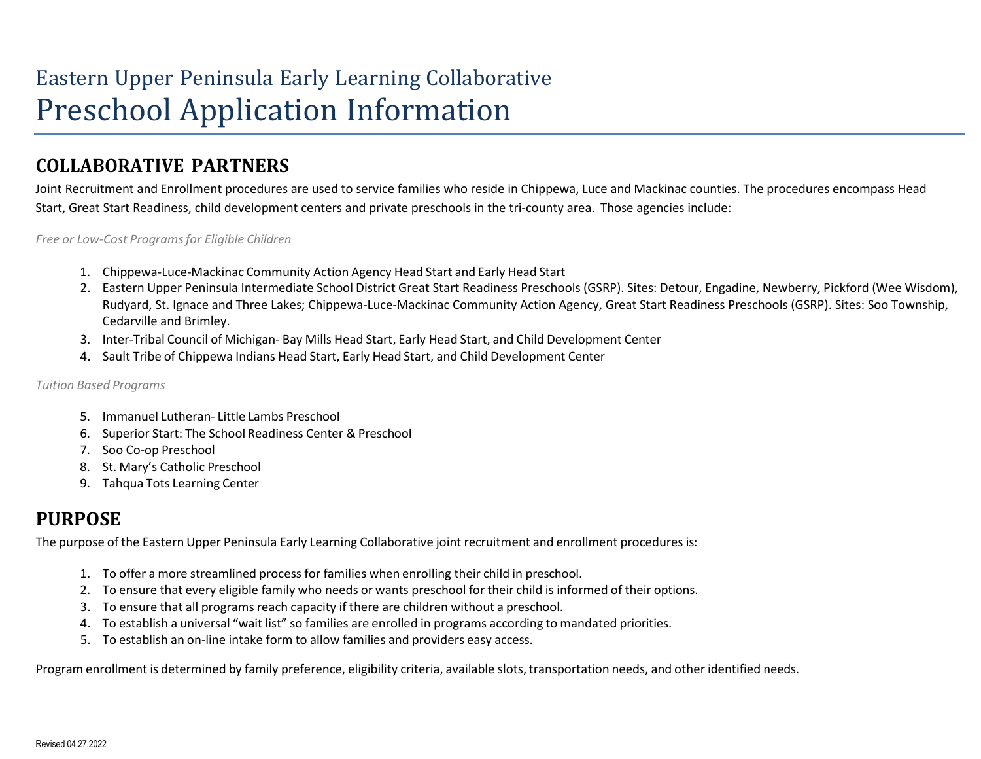# Eastern Upper Peninsula Early Learning Collaborative Preschool Application Information

#### **COLLABORATIVE PARTNERS**

Joint Recruitment and Enrollment procedures are used to service families who reside in Chippewa, Luce and Mackinac counties. The procedures encompass Head Start, Great Start Readiness, child development centers and private preschools in the tri-county area. Those agencies include:

*Free or Low-Cost Programsfor Eligible Children*

- 1. Chippewa-Luce-Mackinac Community Action Agency Head Start and Early Head Start
- 2. Eastern Upper Peninsula Intermediate School District Great Start Readiness Preschools (GSRP). Sites: Detour, Engadine, Newberry, Pickford (Wee Wisdom), Rudyard, St. Ignace and Three Lakes; Chippewa-Luce-Mackinac Community Action Agency, Great Start Readiness Preschools (GSRP). Sites: Soo Township, Cedarville and Brimley.
- 3. Inter-Tribal Council of Michigan- Bay Mills Head Start, Early Head Start, and Child Development Center
- 4. Sault Tribe of Chippewa Indians Head Start, Early Head Start, and Child Development Center

#### *Tuition Based Programs*

- 5. Immanuel Lutheran- Little Lambs Preschool
- 6. Superior Start: The School Readiness Center & Preschool
- 7. Soo Co-op Preschool
- 8. St. Mary's Catholic Preschool
- 9. Tahqua Tots Learning Center

### **PURPOSE**

The purpose of the Eastern Upper Peninsula Early Learning Collaborative joint recruitment and enrollment procedures is:

- 1. To offer a more streamlined process for families when enrolling their child in preschool.
- 2. To ensure that every eligible family who needs or wants preschool for their child is informed of their options.
- 3. To ensure that all programs reach capacity if there are children without a preschool.
- 4. To establish a universal "wait list" so families are enrolled in programs according to mandated priorities.
- 5. To establish an on-line intake form to allow families and providers easy access.

Program enrollment is determined by family preference, eligibility criteria, available slots, transportation needs, and other identified needs.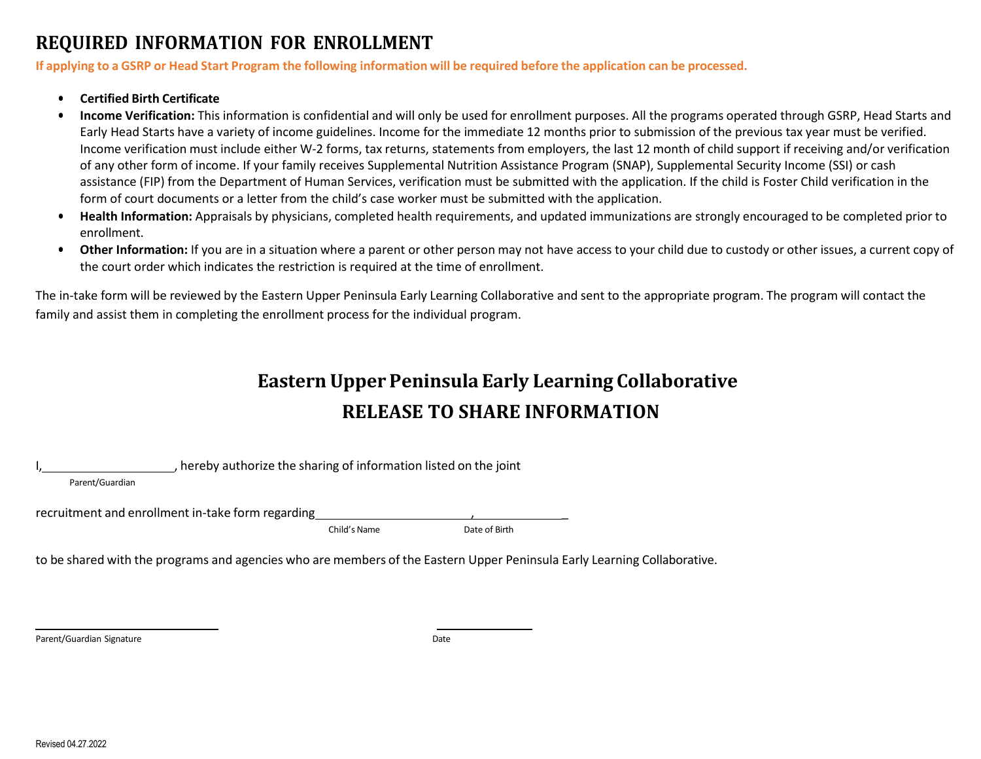#### **REQUIRED INFORMATION FOR ENROLLMENT**

If applying to a GSRP or Head Start Program the following information will be required before the application can be processed.

- **Certified Birth Certificate**
- **Income Verification:** This information is confidential and will only be used for enrollment purposes. All the programs operated through GSRP, Head Starts and Early Head Starts have a variety of income guidelines. Income for the immediate 12 months prior to submission of the previous tax year must be verified. Income verification must include either W-2 forms, tax returns, statements from employers, the last 12 month of child support if receiving and/or verification of any other form of income. If your family receives Supplemental Nutrition Assistance Program (SNAP), Supplemental Security Income (SSI) or cash assistance (FIP) from the Department of Human Services, verification must be submitted with the application. If the child is Foster Child verification in the form of court documents or a letter from the child's case worker must be submitted with the application.
- **Health Information:** Appraisals by physicians, completed health requirements, and updated immunizations are strongly encouraged to be completed prior to enrollment.
- **Other Information:** If you are in a situation where a parent or other person may not have access to your child due to custody or other issues, a current copy of the court order which indicates the restriction is required at the time of enrollment.

The in-take form will be reviewed by the Eastern Upper Peninsula Early Learning Collaborative and sent to the appropriate program. The program will contact the family and assist them in completing the enrollment process for the individual program.

## **Eastern Upper Peninsula Early Learning Collaborative RELEASE TO SHARE INFORMATION**

, hereby authorize the sharing of information listed on the joint

Parent/Guardian

recruitment and enrollment in-take form regarding

Child's Name Date of Birth

to be shared with the programs and agencies who are members of the Eastern Upper Peninsula Early Learning Collaborative.

Parent/Guardian Signature **Date of American Signature** Date of American School and Date of Date of American School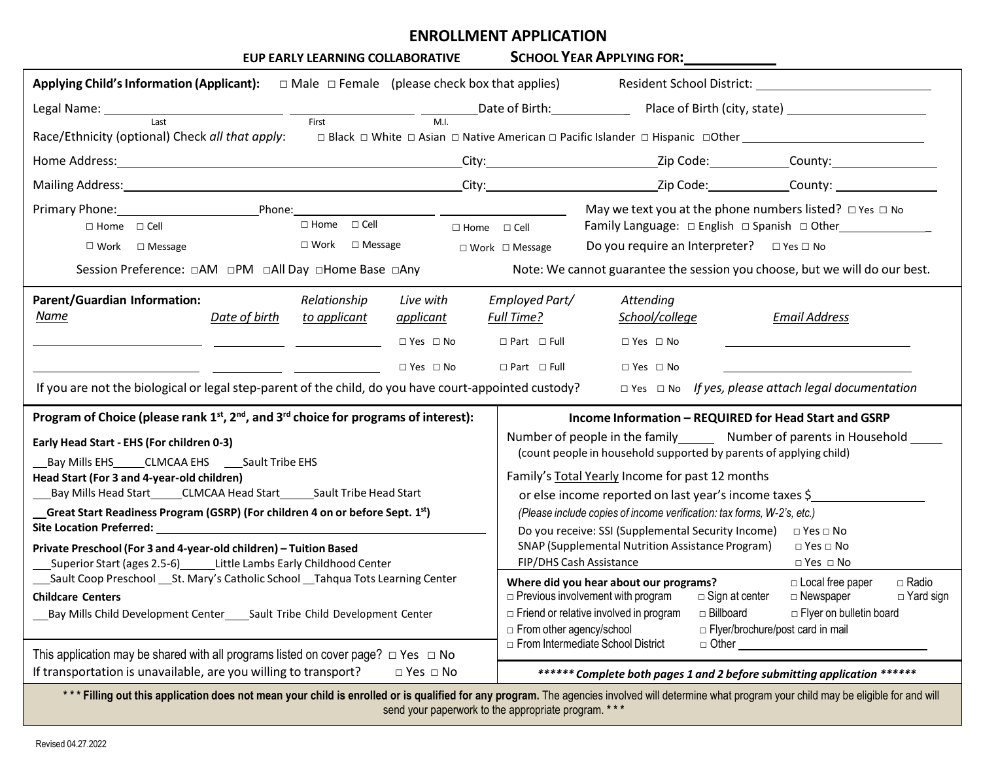# **ENROLLMENT APPLICATION**

| <b>SCHOOL YEAR APPLYING FOR:</b><br>EUP EARLY LEARNING COLLABORATIVE                                                                                                                                                                                                                                                                                                                                                                                                                                                                                                                                                                                                                                                                                                                                                                                                                                                                                                                                    |                                                                                                                                                                                                                                                                                                                                                                                                                                                                                                                                                                                                                                                                                                                                                                                                                                                                                         |  |
|---------------------------------------------------------------------------------------------------------------------------------------------------------------------------------------------------------------------------------------------------------------------------------------------------------------------------------------------------------------------------------------------------------------------------------------------------------------------------------------------------------------------------------------------------------------------------------------------------------------------------------------------------------------------------------------------------------------------------------------------------------------------------------------------------------------------------------------------------------------------------------------------------------------------------------------------------------------------------------------------------------|-----------------------------------------------------------------------------------------------------------------------------------------------------------------------------------------------------------------------------------------------------------------------------------------------------------------------------------------------------------------------------------------------------------------------------------------------------------------------------------------------------------------------------------------------------------------------------------------------------------------------------------------------------------------------------------------------------------------------------------------------------------------------------------------------------------------------------------------------------------------------------------------|--|
| Applying Child's Information (Applicant): $\Box$ Male $\Box$ Female (please check box that applies)                                                                                                                                                                                                                                                                                                                                                                                                                                                                                                                                                                                                                                                                                                                                                                                                                                                                                                     | Resident School District: Network and School District:                                                                                                                                                                                                                                                                                                                                                                                                                                                                                                                                                                                                                                                                                                                                                                                                                                  |  |
| Legal Name: Last Last Last Contract Contract Contract Contract Contract Contract Contract Contract Contract Contract Contract Contract Contract Contract Contract Contract Contract Contract Contract Contract Contract Contra                                                                                                                                                                                                                                                                                                                                                                                                                                                                                                                                                                                                                                                                                                                                                                          |                                                                                                                                                                                                                                                                                                                                                                                                                                                                                                                                                                                                                                                                                                                                                                                                                                                                                         |  |
| Race/Ethnicity (optional) Check all that apply:<br>□ Black □ White □ Asian □ Native American □ Pacific Islander □ Hispanic □ Other ____________________                                                                                                                                                                                                                                                                                                                                                                                                                                                                                                                                                                                                                                                                                                                                                                                                                                                 |                                                                                                                                                                                                                                                                                                                                                                                                                                                                                                                                                                                                                                                                                                                                                                                                                                                                                         |  |
| Home Address: County: City: City: City: City: Zip Code: County: County: County: County: County: County: County: County: County: County: County: County: County: County: County: County: County: County: County: County: County                                                                                                                                                                                                                                                                                                                                                                                                                                                                                                                                                                                                                                                                                                                                                                          |                                                                                                                                                                                                                                                                                                                                                                                                                                                                                                                                                                                                                                                                                                                                                                                                                                                                                         |  |
| Mailing Address: County: City: City: City: City: Zip Code: County: County: County: County: County: County: County: County: County: County: County: County: County: County: County: County: County: County: County: County: Cou                                                                                                                                                                                                                                                                                                                                                                                                                                                                                                                                                                                                                                                                                                                                                                          |                                                                                                                                                                                                                                                                                                                                                                                                                                                                                                                                                                                                                                                                                                                                                                                                                                                                                         |  |
| Primary Phone: Phone: Phone: Phone: Phone: 2014<br>$\Box$ Home $\Box$ Cell<br>$\Box$ Home $\Box$ Cell<br>$\Box$ Home $\Box$ Cell<br>$\Box$ Work $\Box$ Message<br>$\square$ Work $\square$ Message<br>Session Preference: □AM □PM □All Day □Home Base □Any                                                                                                                                                                                                                                                                                                                                                                                                                                                                                                                                                                                                                                                                                                                                              | May we text you at the phone numbers listed? $\Box$ Yes $\Box$ No<br>Do you require an Interpreter? $\Box$ Yes $\Box$ No<br>$\Box$ Work $\Box$ Message<br>Note: We cannot guarantee the session you choose, but we will do our best.                                                                                                                                                                                                                                                                                                                                                                                                                                                                                                                                                                                                                                                    |  |
| <b>Parent/Guardian Information:</b><br>Relationship<br>Live with<br>Name<br>Date of birth<br>to applicant<br>applicant<br>$\Box$ Yes $\Box$ No<br>$\Box$ Yes $\Box$ No<br>If you are not the biological or legal step-parent of the child, do you have court-appointed custody?                                                                                                                                                                                                                                                                                                                                                                                                                                                                                                                                                                                                                                                                                                                         | Employed Part/<br>Attending<br>School/college<br>Full Time?<br><b>Email Address</b><br>$\Box$ Yes $\Box$ No<br>$\Box$ Part $\Box$ Full<br>$\Box$ Part $\Box$ Full<br>$\Box$ Yes $\Box$ No<br>$\Box$ Yes $\Box$ No If yes, please attach legal documentation                                                                                                                                                                                                                                                                                                                                                                                                                                                                                                                                                                                                                             |  |
| Program of Choice (please rank 1 <sup>st</sup> , 2 <sup>nd</sup> , and 3 <sup>rd</sup> choice for programs of interest):<br>Early Head Start - EHS (For children 0-3)<br>Bay Mills EHS CLMCAA EHS Sault Tribe EHS<br>Head Start (For 3 and 4-year-old children)<br>Bay Mills Head Start______CLMCAA Head Start_______Sault Tribe Head Start<br>Great Start Readiness Program (GSRP) (For children 4 on or before Sept. 1st)<br>Site Location Preferred: The Contract of the Contract of the Contract of the Contract of the Contract of the Contract of the Contract of the Contract of the Contract of the Contract of the Contract of the Contract of the C<br>Private Preschool (For 3 and 4-year-old children) - Tuition Based<br>Superior Start (ages 2.5-6) Little Lambs Early Childhood Center<br>___Sault Coop Preschool ___St. Mary's Catholic School __Tahqua Tots Learning Center<br><b>Childcare Centers</b><br>Bay Mills Child Development Center_____Sault Tribe Child Development Center | Income Information - REQUIRED for Head Start and GSRP<br>Number of people in the family Number of parents in Household<br>(count people in household supported by parents of applying child)<br>Family's Total Yearly Income for past 12 months<br>or else income reported on last year's income taxes \$<br>(Please include copies of income verification: tax forms, W-2's, etc.)<br>Do you receive: SSI (Supplemental Security Income)<br>$\Box$ Yes $\Box$ No<br><b>SNAP (Supplemental Nutrition Assistance Program)</b><br>$\Box$ Yes $\Box$ No<br>FIP/DHS Cash Assistance<br>$\Box$ Yes $\Box$ No<br>$\Box$ Radio<br>Where did you hear about our programs?<br>□ Local free paper<br>$\Box$ Previous involvement with program<br>□ Sign at center<br>□ Newspaper<br>$\Box$ Yard sign<br>□ Billboard<br>$\Box$ Friend or relative involved in program<br>□ Flyer on bulletin board |  |
| This application may be shared with all programs listed on cover page? $\Box$ Yes $\Box$ No<br>If transportation is unavailable, are you willing to transport?<br>$\Box$ Yes $\Box$ No                                                                                                                                                                                                                                                                                                                                                                                                                                                                                                                                                                                                                                                                                                                                                                                                                  | From other agency/school<br>□ Flyer/brochure/post card in mail<br>□ From Intermediate School District<br>$\Box$ Other $\Box$<br>****** Complete both pages 1 and 2 before submitting application ******                                                                                                                                                                                                                                                                                                                                                                                                                                                                                                                                                                                                                                                                                 |  |

\*\*\* Filling out this application does not mean your child is enrolled or is qualified for any program. The agencies involved will determine what program your child may be eligible for and will send your paperwork to the appropriate program. **\* \* \***